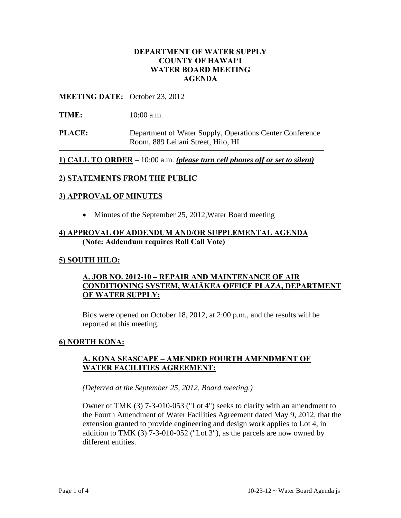## **DEPARTMENT OF WATER SUPPLY COUNTY OF HAWAI'I WATER BOARD MEETING AGENDA**

#### **MEETING DATE:** October 23, 2012

- **TIME:** 10:00 a.m.
- **PLACE:** Department of Water Supply, Operations Center Conference Room, 889 Leilani Street, Hilo, HI

**1) CALL TO ORDER** – 10:00 a.m. *(please turn cell phones off or set to silent)*

## **2) STATEMENTS FROM THE PUBLIC**

#### **3) APPROVAL OF MINUTES**

• Minutes of the September 25, 2012, Water Board meeting

#### **4) APPROVAL OF ADDENDUM AND/OR SUPPLEMENTAL AGENDA (Note: Addendum requires Roll Call Vote)**

#### **5) SOUTH HILO:**

## **A. JOB NO. 2012-10 – REPAIR AND MAINTENANCE OF AIR CONDITIONING SYSTEM, WAIĀKEA OFFICE PLAZA, DEPARTMENT OF WATER SUPPLY:**

Bids were opened on October 18, 2012, at 2:00 p.m., and the results will be reported at this meeting.

#### **6) NORTH KONA:**

#### **A. KONA SEASCAPE – AMENDED FOURTH AMENDMENT OF WATER FACILITIES AGREEMENT:**

#### *(Deferred at the September 25, 2012, Board meeting.)*

Owner of TMK (3) 7-3-010-053 ("Lot 4") seeks to clarify with an amendment to the Fourth Amendment of Water Facilities Agreement dated May 9, 2012, that the extension granted to provide engineering and design work applies to Lot 4, in addition to TMK  $(3)$  7-3-010-052 ("Lot 3"), as the parcels are now owned by different entities.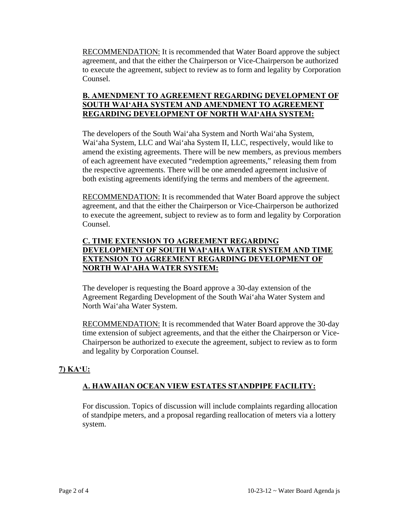RECOMMENDATION: It is recommended that Water Board approve the subject agreement, and that the either the Chairperson or Vice-Chairperson be authorized to execute the agreement, subject to review as to form and legality by Corporation Counsel.

## **B. AMENDMENT TO AGREEMENT REGARDING DEVELOPMENT OF SOUTH WAI'AHA SYSTEM AND AMENDMENT TO AGREEMENT REGARDING DEVELOPMENT OF NORTH WAI'AHA SYSTEM:**

The developers of the South Wai'aha System and North Wai'aha System, Wai'aha System, LLC and Wai'aha System II, LLC, respectively, would like to amend the existing agreements. There will be new members, as previous members of each agreement have executed "redemption agreements," releasing them from the respective agreements. There will be one amended agreement inclusive of both existing agreements identifying the terms and members of the agreement.

RECOMMENDATION: It is recommended that Water Board approve the subject agreement, and that the either the Chairperson or Vice-Chairperson be authorized to execute the agreement, subject to review as to form and legality by Corporation Counsel.

## **C. TIME EXTENSION TO AGREEMENT REGARDING DEVELOPMENT OF SOUTH WAI'AHA WATER SYSTEM AND TIME EXTENSION TO AGREEMENT REGARDING DEVELOPMENT OF NORTH WAI'AHA WATER SYSTEM:**

The developer is requesting the Board approve a 30-day extension of the Agreement Regarding Development of the South Wai'aha Water System and North Wai'aha Water System.

RECOMMENDATION: It is recommended that Water Board approve the 30-day time extension of subject agreements, and that the either the Chairperson or Vice-Chairperson be authorized to execute the agreement, subject to review as to form and legality by Corporation Counsel.

# **7) KA'U:**

# **A. HAWAIIAN OCEAN VIEW ESTATES STANDPIPE FACILITY:**

For discussion. Topics of discussion will include complaints regarding allocation of standpipe meters, and a proposal regarding reallocation of meters via a lottery system.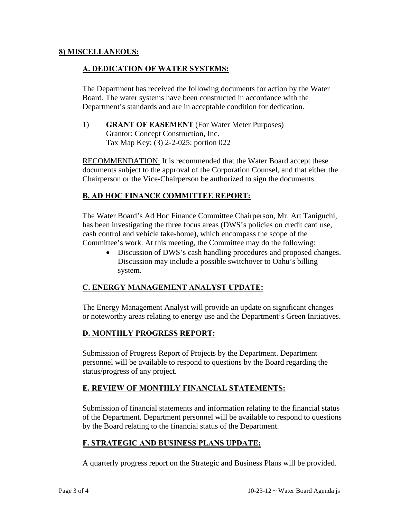### **8) MISCELLANEOUS:**

### **A. DEDICATION OF WATER SYSTEMS:**

The Department has received the following documents for action by the Water Board. The water systems have been constructed in accordance with the Department's standards and are in acceptable condition for dedication.

1) **GRANT OF EASEMENT** (For Water Meter Purposes) Grantor: Concept Construction, Inc. Tax Map Key: (3) 2-2-025: portion 022

RECOMMENDATION: It is recommended that the Water Board accept these documents subject to the approval of the Corporation Counsel, and that either the Chairperson or the Vice-Chairperson be authorized to sign the documents.

## **B. AD HOC FINANCE COMMITTEE REPORT:**

The Water Board's Ad Hoc Finance Committee Chairperson, Mr. Art Taniguchi, has been investigating the three focus areas (DWS's policies on credit card use, cash control and vehicle take-home), which encompass the scope of the Committee's work. At this meeting, the Committee may do the following:

• Discussion of DWS's cash handling procedures and proposed changes. Discussion may include a possible switchover to Oahu's billing system.

## **C. ENERGY MANAGEMENT ANALYST UPDATE:**

The Energy Management Analyst will provide an update on significant changes or noteworthy areas relating to energy use and the Department's Green Initiatives.

## **D. MONTHLY PROGRESS REPORT:**

Submission of Progress Report of Projects by the Department. Department personnel will be available to respond to questions by the Board regarding the status/progress of any project.

## **E. REVIEW OF MONTHLY FINANCIAL STATEMENTS:**

Submission of financial statements and information relating to the financial status of the Department. Department personnel will be available to respond to questions by the Board relating to the financial status of the Department.

## **F. STRATEGIC AND BUSINESS PLANS UPDATE:**

A quarterly progress report on the Strategic and Business Plans will be provided.